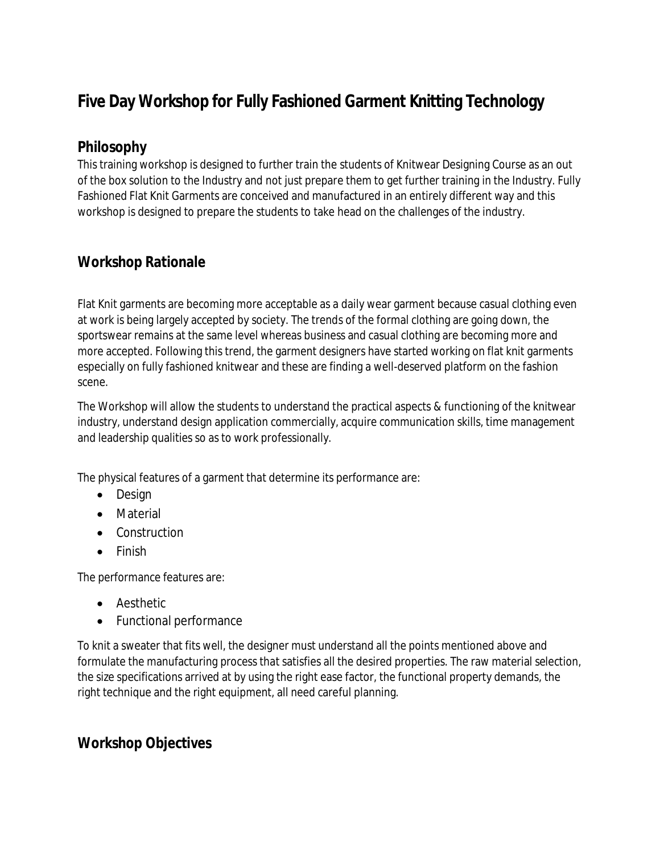## **Five Day Workshop for Fully Fashioned Garment Knitting Technology**

## **Philosophy**

This training workshop is designed to further train the students of Knitwear Designing Course as an out of the box solution to the Industry and not just prepare them to get further training in the Industry. Fully Fashioned Flat Knit Garments are conceived and manufactured in an entirely different way and this workshop is designed to prepare the students to take head on the challenges of the industry.

## **Workshop Rationale**

Flat Knit garments are becoming more acceptable as a daily wear garment because casual clothing even at work is being largely accepted by society. The trends of the formal clothing are going down, the sportswear remains at the same level whereas business and casual clothing are becoming more and more accepted. Following this trend, the garment designers have started working on flat knit garments especially on fully fashioned knitwear and these are finding a well-deserved platform on the fashion scene.

The Workshop will allow the students to understand the practical aspects & functioning of the knitwear industry, understand design application commercially, acquire communication skills, time management and leadership qualities so as to work professionally.

The physical features of a garment that determine its performance are:

- Design
- Material
- Construction
- Finish

The performance features are:

- Aesthetic
- Functional performance

To knit a sweater that fits well, the designer must understand all the points mentioned above and formulate the manufacturing process that satisfies all the desired properties. The raw material selection, the size specifications arrived at by using the right ease factor, the functional property demands, the right technique and the right equipment, all need careful planning.

## **Workshop Objectives**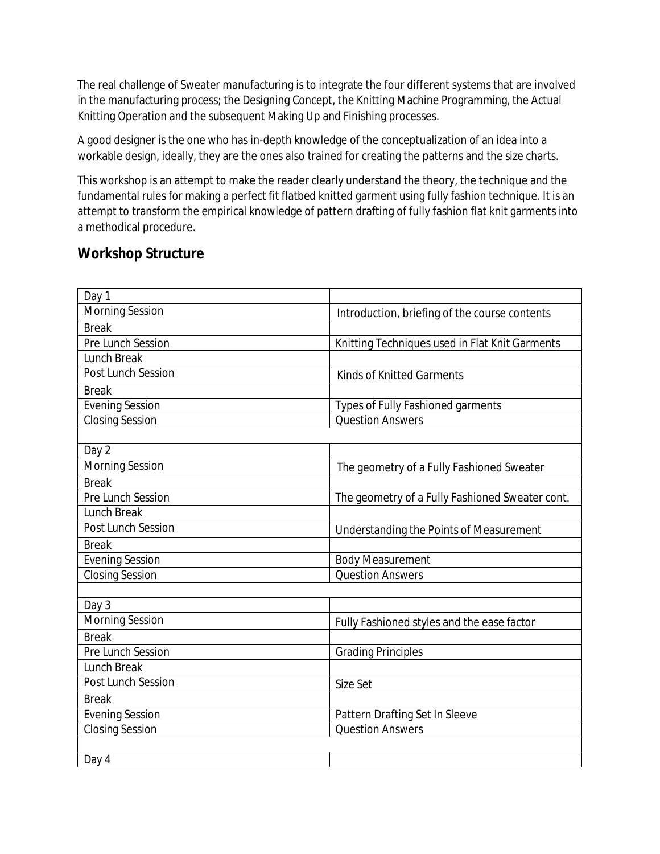The real challenge of Sweater manufacturing is to integrate the four different systems that are involved in the manufacturing process; the Designing Concept, the Knitting Machine Programming, the Actual Knitting Operation and the subsequent Making Up and Finishing processes.

A good designer is the one who has in-depth knowledge of the conceptualization of an idea into a workable design, ideally, they are the ones also trained for creating the patterns and the size charts.

This workshop is an attempt to make the reader clearly understand the theory, the technique and the fundamental rules for making a perfect fit flatbed knitted garment using fully fashion technique. It is an attempt to transform the empirical knowledge of pattern drafting of fully fashion flat knit garments into a methodical procedure.

## **Workshop Structure**

| Day 1                  |                                                 |
|------------------------|-------------------------------------------------|
| <b>Morning Session</b> | Introduction, briefing of the course contents   |
| <b>Break</b>           |                                                 |
| Pre Lunch Session      | Knitting Techniques used in Flat Knit Garments  |
| <b>Lunch Break</b>     |                                                 |
| Post Lunch Session     | <b>Kinds of Knitted Garments</b>                |
| <b>Break</b>           |                                                 |
| <b>Evening Session</b> | <b>Types of Fully Fashioned garments</b>        |
| <b>Closing Session</b> | <b>Question Answers</b>                         |
|                        |                                                 |
| Day 2                  |                                                 |
| <b>Morning Session</b> | The geometry of a Fully Fashioned Sweater       |
| <b>Break</b>           |                                                 |
| Pre Lunch Session      | The geometry of a Fully Fashioned Sweater cont. |
| <b>Lunch Break</b>     |                                                 |
| Post Lunch Session     | Understanding the Points of Measurement         |
| <b>Break</b>           |                                                 |
| <b>Evening Session</b> | <b>Body Measurement</b>                         |
| <b>Closing Session</b> | <b>Question Answers</b>                         |
|                        |                                                 |
| Day 3                  |                                                 |
| <b>Morning Session</b> | Fully Fashioned styles and the ease factor      |
| <b>Break</b>           |                                                 |
| Pre Lunch Session      | <b>Grading Principles</b>                       |
| <b>Lunch Break</b>     |                                                 |
| Post Lunch Session     | Size Set                                        |
| <b>Break</b>           |                                                 |
| <b>Evening Session</b> | Pattern Drafting Set In Sleeve                  |
| <b>Closing Session</b> | <b>Question Answers</b>                         |
|                        |                                                 |
| Day 4                  |                                                 |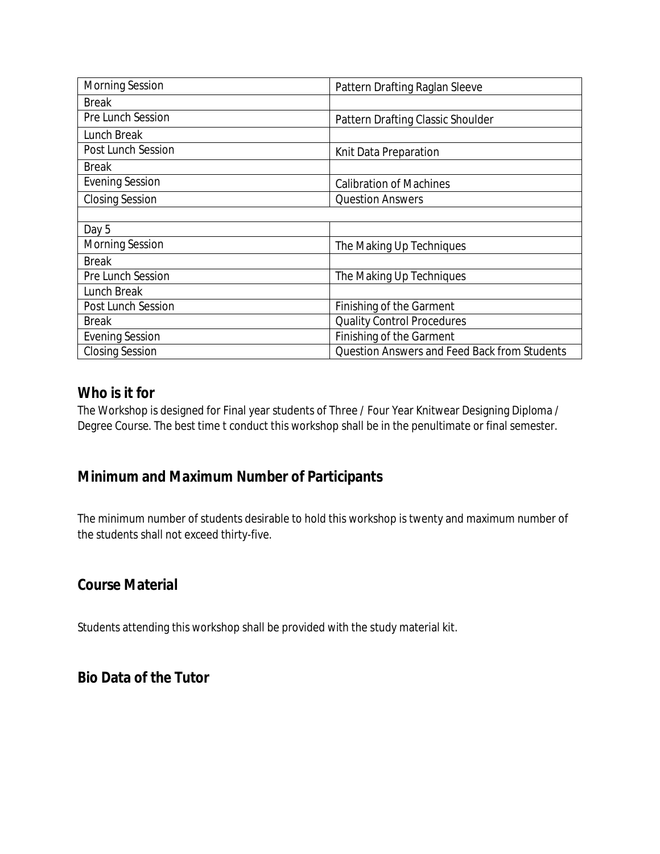| <b>Morning Session</b>    | Pattern Drafting Raglan Sleeve                      |
|---------------------------|-----------------------------------------------------|
| <b>Break</b>              |                                                     |
| Pre Lunch Session         | Pattern Drafting Classic Shoulder                   |
| Lunch Break               |                                                     |
| <b>Post Lunch Session</b> | Knit Data Preparation                               |
| <b>Break</b>              |                                                     |
| <b>Evening Session</b>    | <b>Calibration of Machines</b>                      |
| <b>Closing Session</b>    | <b>Question Answers</b>                             |
|                           |                                                     |
| Day 5                     |                                                     |
| <b>Morning Session</b>    | The Making Up Techniques                            |
| <b>Break</b>              |                                                     |
| <b>Pre Lunch Session</b>  | The Making Up Techniques                            |
| Lunch Break               |                                                     |
| Post Lunch Session        | Finishing of the Garment                            |
| <b>Break</b>              | <b>Quality Control Procedures</b>                   |
| <b>Evening Session</b>    | Finishing of the Garment                            |
| <b>Closing Session</b>    | <b>Question Answers and Feed Back from Students</b> |

## **Who is it for**

The Workshop is designed for Final year students of Three / Four Year Knitwear Designing Diploma / Degree Course. The best time t conduct this workshop shall be in the penultimate or final semester.

## **Minimum and Maximum Number of Participants**

The minimum number of students desirable to hold this workshop is twenty and maximum number of the students shall not exceed thirty-five.

## **Course Material**

Students attending this workshop shall be provided with the study material kit.

## **Bio Data of the Tutor**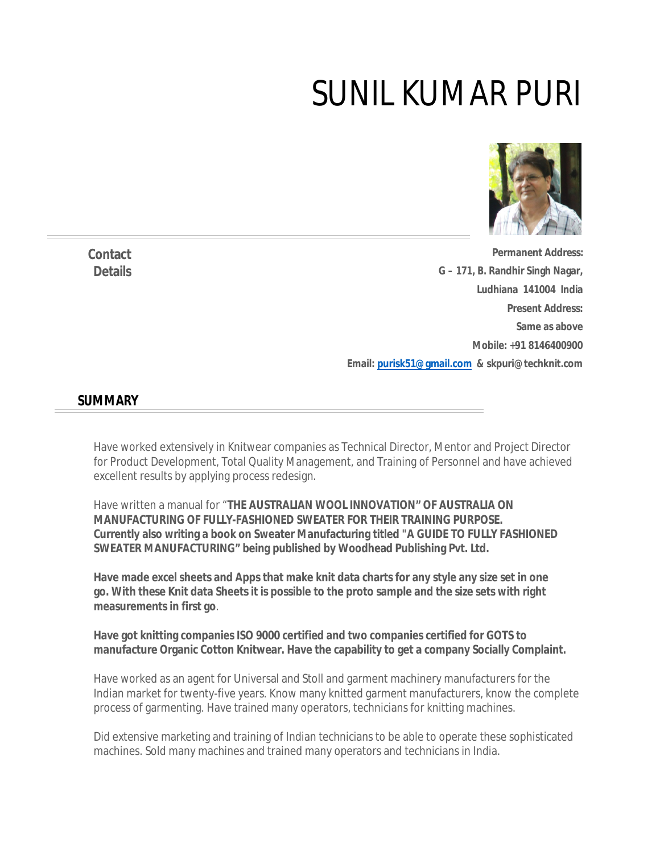# SUNIL KUMAR PURI



**Permanent Address: G – 171, B. Randhir Singh Nagar, Ludhiana 141004 India Present Address: Same as above Mobile: +91 8146400900 Email: purisk51@gmail.com & skpuri@techknit.com** 

### **SUMMARY**

Have worked extensively in Knitwear companies as Technical Director, Mentor and Project Director for Product Development, Total Quality Management, and Training of Personnel and have achieved excellent results by applying process redesign.

Have written a manual for "**THE AUSTRALIAN WOOL INNOVATION" OF AUSTRALIA ON MANUFACTURING OF FULLY-FASHIONED SWEATER FOR THEIR TRAINING PURPOSE. Currently also writing a book on Sweater Manufacturing titled "A GUIDE TO FULLY FASHIONED SWEATER MANUFACTURING" being published by Woodhead Publishing Pvt. Ltd.**

**Have made excel sheets and Apps that make knit data charts for any style any size set in one go. With these Knit data Sheets it is possible to the proto sample and the size sets with right measurements in first go**.

**Have got knitting companies ISO 9000 certified and two companies certified for GOTS to manufacture Organic Cotton Knitwear. Have the capability to get a company Socially Complaint.**

Have worked as an agent for Universal and Stoll and garment machinery manufacturers for the Indian market for twenty-five years. Know many knitted garment manufacturers, know the complete process of garmenting. Have trained many operators, technicians for knitting machines.

Did extensive marketing and training of Indian technicians to be able to operate these sophisticated machines. Sold many machines and trained many operators and technicians in India.

**Contact Details**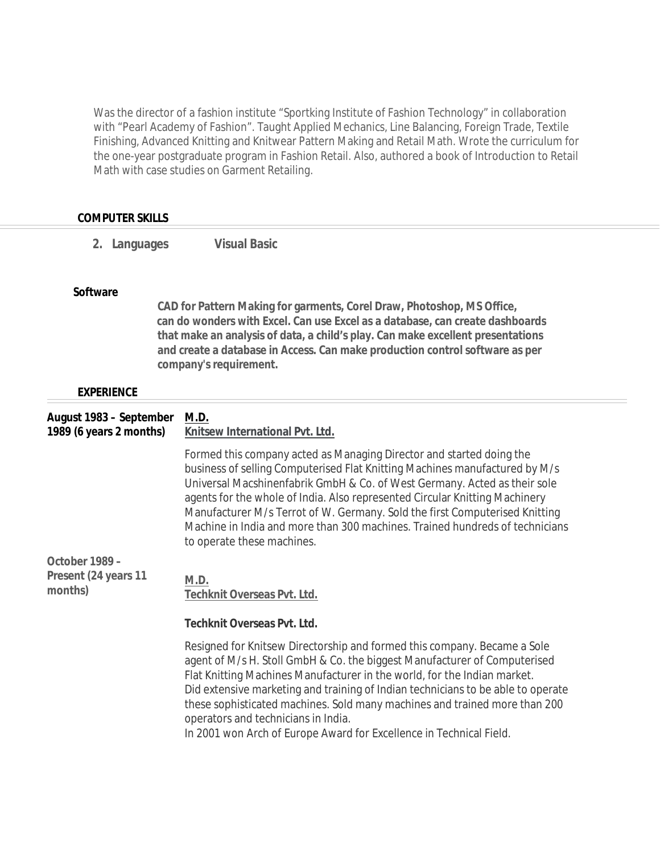Was the director of a fashion institute "Sportking Institute of Fashion Technology" in collaboration with "Pearl Academy of Fashion". Taught Applied Mechanics, Line Balancing, Foreign Trade, Textile Finishing, Advanced Knitting and Knitwear Pattern Making and Retail Math. Wrote the curriculum for the one-year postgraduate program in Fashion Retail. Also, authored a book of Introduction to Retail Math with case studies on Garment Retailing.

| <b>COMPUTER SKILLS</b>                             |                                                                                                                                                                                                                                                                                                                                                                                                                                                                                                                   |  |  |  |
|----------------------------------------------------|-------------------------------------------------------------------------------------------------------------------------------------------------------------------------------------------------------------------------------------------------------------------------------------------------------------------------------------------------------------------------------------------------------------------------------------------------------------------------------------------------------------------|--|--|--|
| 2. Languages                                       | <b>Visual Basic</b>                                                                                                                                                                                                                                                                                                                                                                                                                                                                                               |  |  |  |
| <b>Software</b>                                    |                                                                                                                                                                                                                                                                                                                                                                                                                                                                                                                   |  |  |  |
|                                                    | CAD for Pattern Making for garments, Corel Draw, Photoshop, MS Office,<br>can do wonders with Excel. Can use Excel as a database, can create dashboards<br>that make an analysis of data, a child's play. Can make excellent presentations<br>and create a database in Access. Can make production control software as per<br>company's requirement.                                                                                                                                                              |  |  |  |
| <b>EXPERIENCE</b>                                  |                                                                                                                                                                                                                                                                                                                                                                                                                                                                                                                   |  |  |  |
| August 1983 - September<br>1989 (6 years 2 months) | M.D.<br>Knitsew International Pvt. Ltd.                                                                                                                                                                                                                                                                                                                                                                                                                                                                           |  |  |  |
|                                                    | Formed this company acted as Managing Director and started doing the<br>business of selling Computerised Flat Knitting Machines manufactured by M/s<br>Universal Macshinenfabrik GmbH & Co. of West Germany. Acted as their sole<br>agents for the whole of India. Also represented Circular Knitting Machinery<br>Manufacturer M/s Terrot of W. Germany. Sold the first Computerised Knitting<br>Machine in India and more than 300 machines. Trained hundreds of technicians<br>to operate these machines.      |  |  |  |
| October 1989 -<br>Present (24 years 11             | M.D.                                                                                                                                                                                                                                                                                                                                                                                                                                                                                                              |  |  |  |
| months)                                            | Techknit Overseas Pvt. Ltd.                                                                                                                                                                                                                                                                                                                                                                                                                                                                                       |  |  |  |
|                                                    | <b>Techknit Overseas Pvt. Ltd.</b>                                                                                                                                                                                                                                                                                                                                                                                                                                                                                |  |  |  |
|                                                    | Resigned for Knitsew Directorship and formed this company. Became a Sole<br>agent of M/s H. Stoll GmbH & Co. the biggest Manufacturer of Computerised<br>Flat Knitting Machines Manufacturer in the world, for the Indian market.<br>Did extensive marketing and training of Indian technicians to be able to operate<br>these sophisticated machines. Sold many machines and trained more than 200<br>operators and technicians in India.<br>In 2001 won Arch of Europe Award for Excellence in Technical Field. |  |  |  |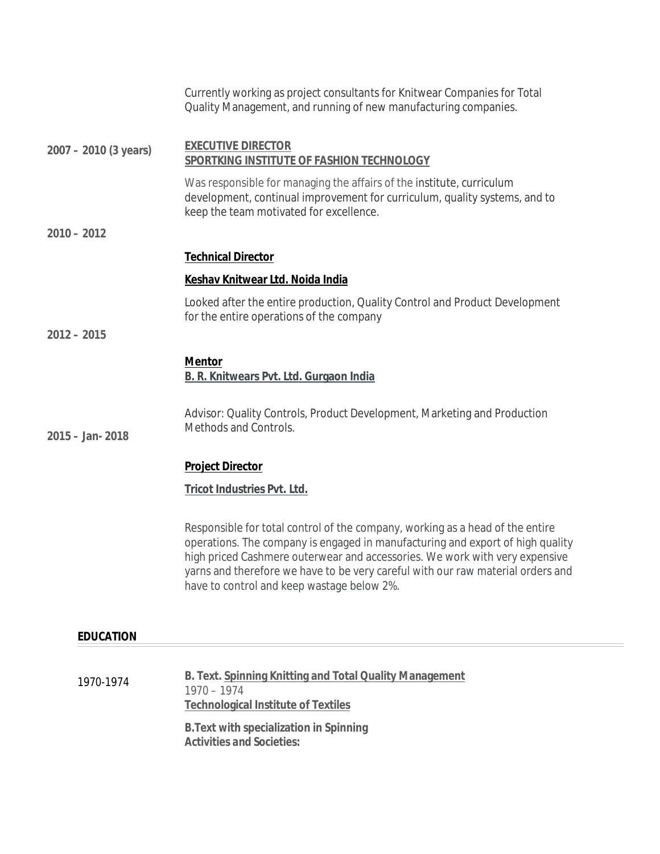|                       | Currently working as project consultants for Knitwear Companies for Total<br>Quality Management, and running of new manufacturing companies.                                                                                                                                                                                                                                    |  |  |
|-----------------------|---------------------------------------------------------------------------------------------------------------------------------------------------------------------------------------------------------------------------------------------------------------------------------------------------------------------------------------------------------------------------------|--|--|
| 2007 - 2010 (3 years) | <b>EXECUTIVE DIRECTOR</b><br>SPORTKING INSTITUTE OF FASHION TECHNOLOGY                                                                                                                                                                                                                                                                                                          |  |  |
|                       | Was responsible for managing the affairs of the institute, curriculum<br>development, continual improvement for curriculum, quality systems, and to<br>keep the team motivated for excellence.                                                                                                                                                                                  |  |  |
| $2010 - 2012$         |                                                                                                                                                                                                                                                                                                                                                                                 |  |  |
|                       | <b>Technical Director</b>                                                                                                                                                                                                                                                                                                                                                       |  |  |
|                       | Keshav Knitwear Ltd. Noida India                                                                                                                                                                                                                                                                                                                                                |  |  |
|                       | Looked after the entire production, Quality Control and Product Development<br>for the entire operations of the company                                                                                                                                                                                                                                                         |  |  |
| $2012 - 2015$         |                                                                                                                                                                                                                                                                                                                                                                                 |  |  |
|                       | <b>Mentor</b><br><b>B. R. Knitwears Pvt. Ltd. Gurgaon India</b>                                                                                                                                                                                                                                                                                                                 |  |  |
| $2015 - Jan - 2018$   | Advisor: Quality Controls, Product Development, Marketing and Production<br>Methods and Controls.                                                                                                                                                                                                                                                                               |  |  |
|                       | <b>Project Director</b>                                                                                                                                                                                                                                                                                                                                                         |  |  |
|                       | <b>Tricot Industries Pvt. Ltd.</b>                                                                                                                                                                                                                                                                                                                                              |  |  |
|                       | Responsible for total control of the company, working as a head of the entire<br>operations. The company is engaged in manufacturing and export of high quality<br>high priced Cashmere outerwear and accessories. We work with very expensive<br>yarns and therefore we have to be very careful with our raw material orders and<br>have to control and keep wastage below 2%. |  |  |
| <b>EDUCATION</b>      |                                                                                                                                                                                                                                                                                                                                                                                 |  |  |
| 1970-1974             | B. Text. Spinning Knitting and Total Quality Management<br>$1970 - 1974$<br><b>Technological Institute of Textiles</b><br><b>B. Text with specialization in Spinning</b>                                                                                                                                                                                                        |  |  |
|                       | <b>Activities and Societies:</b>                                                                                                                                                                                                                                                                                                                                                |  |  |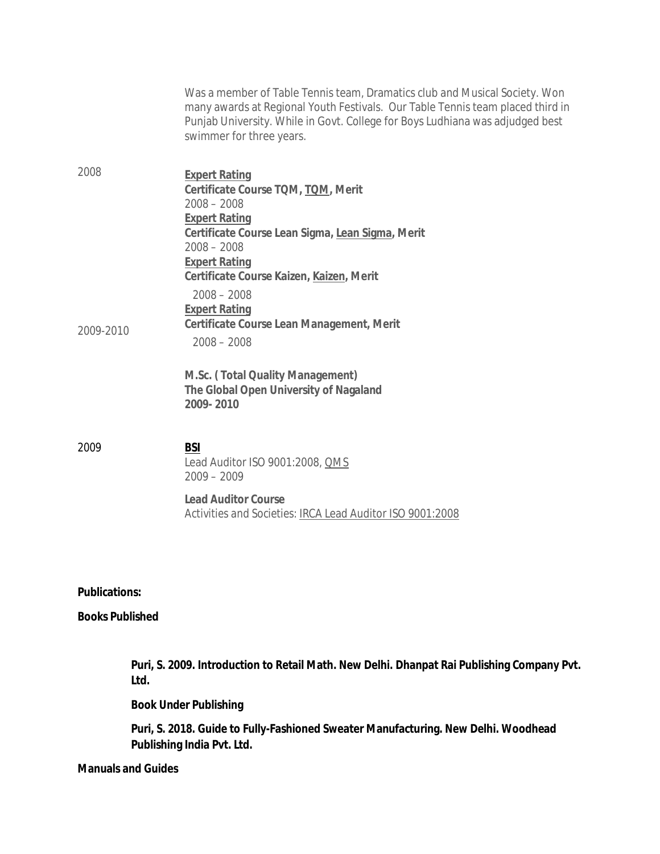|                        | Puri, S. 2018. Guide to Fully-Fashioned Sweater Manufacturing. New Delhi. Woodhead<br>Publishing India Pvt. Ltd.                                                                                                                                                          |
|------------------------|---------------------------------------------------------------------------------------------------------------------------------------------------------------------------------------------------------------------------------------------------------------------------|
|                        | <b>Book Under Publishing</b>                                                                                                                                                                                                                                              |
|                        | Puri, S. 2009. Introduction to Retail Math. New Delhi. Dhanpat Rai Publishing Company Pvt.<br>Ltd.                                                                                                                                                                        |
| <b>Books Published</b> |                                                                                                                                                                                                                                                                           |
| <b>Publications:</b>   |                                                                                                                                                                                                                                                                           |
|                        |                                                                                                                                                                                                                                                                           |
|                        | <b>Lead Auditor Course</b><br>Activities and Societies: IRCA Lead Auditor ISO 9001:2008                                                                                                                                                                                   |
| 2009                   | <b>BSI</b><br>Lead Auditor ISO 9001:2008, OMS<br>$2009 - 2009$                                                                                                                                                                                                            |
|                        | M.Sc. (Total Quality Management)<br>The Global Open University of Nagaland<br>2009-2010                                                                                                                                                                                   |
| 2009-2010              | <b>Expert Rating</b><br><b>Certificate Course Lean Management, Merit</b><br>$2008 - 2008$                                                                                                                                                                                 |
|                        | $2008 - 2008$<br><b>Expert Rating</b><br>Certificate Course Lean Sigma, Lean Sigma, Merit<br>$2008 - 2008$<br><b>Expert Rating</b><br>Certificate Course Kaizen, Kaizen, Merit<br>$2008 - 2008$                                                                           |
| 2008                   | <b>Expert Rating</b><br>Certificate Course TQM, TQM, Merit                                                                                                                                                                                                                |
|                        | Was a member of Table Tennis team, Dramatics club and Musical Society. Won<br>many awards at Regional Youth Festivals. Our Table Tennis team placed third in<br>Punjab University. While in Govt. College for Boys Ludhiana was adjudged best<br>swimmer for three years. |

### **Manuals and Guides**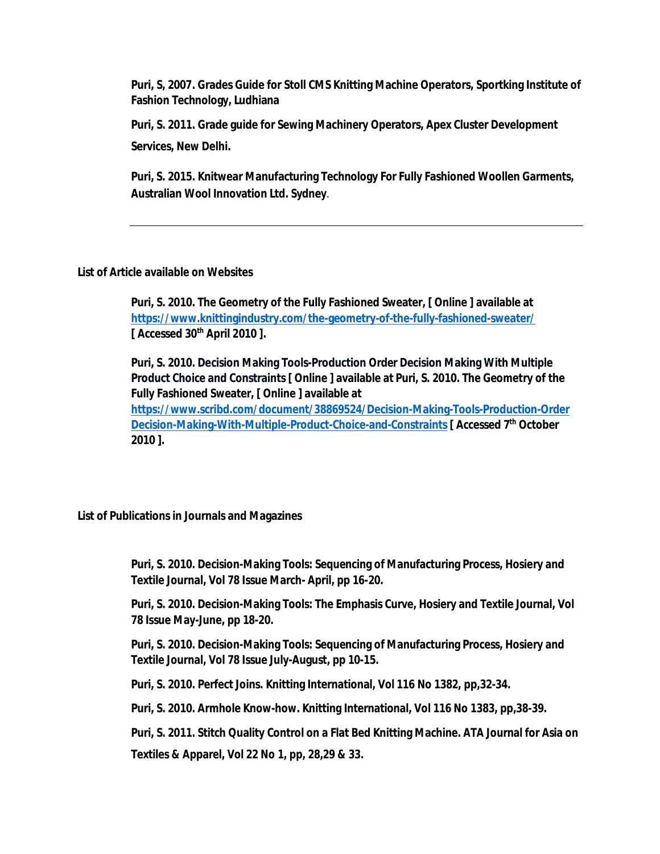**Puri, S, 2007. Grades Guide for Stoll CMS Knitting Machine Operators, Sportking Institute of Fashion Technology, Ludhiana**

**Puri, S. 2011. Grade guide for Sewing Machinery Operators, Apex Cluster Development Services, New Delhi.**

**Puri, S. 2015. Knitwear Manufacturing Technology For Fully Fashioned Woollen Garments, Australian Wool Innovation Ltd. Sydney**.

### **List of Article available on Websites**

**Puri, S. 2010. The Geometry of the Fully Fashioned Sweater, [ Online ] available at https://www.knittingindustry.com/the-geometry-of-the-fully-fashioned-sweater/ [ Accessed 30th April 2010 ].** 

**Puri, S. 2010. Decision Making Tools-Production Order Decision Making With Multiple Product Choice and Constraints [ Online ] available at Puri, S. 2010. The Geometry of the Fully Fashioned Sweater, [ Online ] available at** 

**https://www.scribd.com/document/38869524/Decision-Making-Tools-Production-Order Decision-Making-With-Multiple-Product-Choice-and-Constraints [ Accessed 7th October 2010 ].** 

**List of Publications in Journals and Magazines**

**Puri, S. 2010. Decision-Making Tools: Sequencing of Manufacturing Process, Hosiery and Textile Journal, Vol 78 Issue March- April, pp 16-20.**

**Puri, S. 2010. Decision-Making Tools: The Emphasis Curve, Hosiery and Textile Journal, Vol 78 Issue May-June, pp 18-20.**

**Puri, S. 2010. Decision-Making Tools: Sequencing of Manufacturing Process, Hosiery and Textile Journal, Vol 78 Issue July-August, pp 10-15.**

**Puri, S. 2010. Perfect Joins. Knitting International, Vol 116 No 1382, pp,32-34.**

**Puri, S. 2010. Armhole Know-how. Knitting International, Vol 116 No 1383, pp,38-39.**

**Puri, S. 2011. Stitch Quality Control on a Flat Bed Knitting Machine. ATA Journal for Asia on** 

**Textiles & Apparel, Vol 22 No 1, pp, 28,29 & 33.**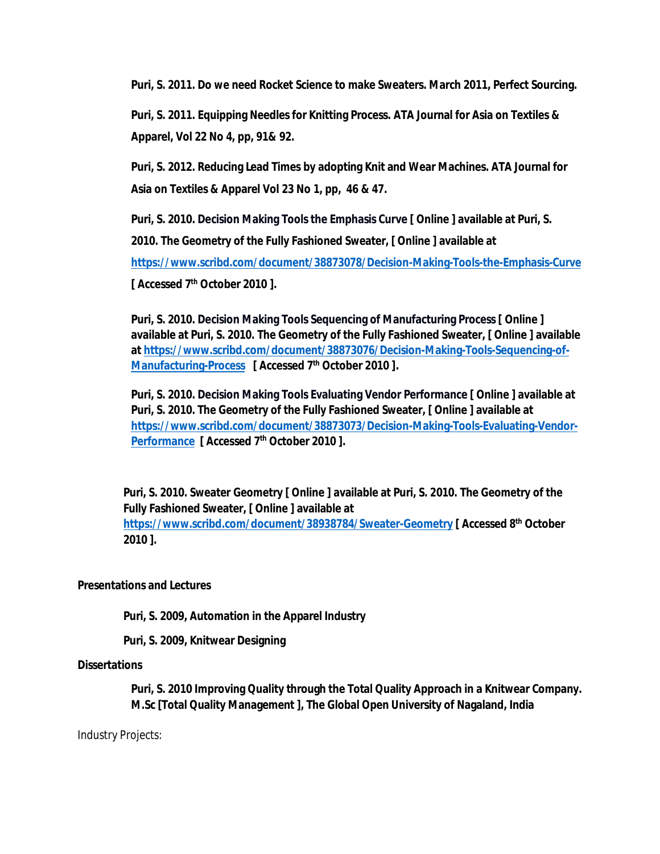**Puri, S. 2011. Do we need Rocket Science to make Sweaters. March 2011, Perfect Sourcing.**

**Puri, S. 2011. Equipping Needles for Knitting Process. ATA Journal for Asia on Textiles & Apparel, Vol 22 No 4, pp, 91& 92.**

**Puri, S. 2012. Reducing Lead Times by adopting Knit and Wear Machines. ATA Journal for Asia on Textiles & Apparel Vol 23 No 1, pp, 46 & 47.**

**Puri, S. 2010. Decision Making Tools the Emphasis Curve [ Online ] available at Puri, S. 2010. The Geometry of the Fully Fashioned Sweater, [ Online ] available at https://www.scribd.com/document/38873078/Decision-Making-Tools-the-Emphasis-Curve [ Accessed 7th October 2010 ].** 

**Puri, S. 2010. Decision Making Tools Sequencing of Manufacturing Process [ Online ] available at Puri, S. 2010. The Geometry of the Fully Fashioned Sweater, [ Online ] available at https://www.scribd.com/document/38873076/Decision-Making-Tools-Sequencing-of-Manufacturing-Process [ Accessed 7th October 2010 ].** 

**Puri, S. 2010. Decision Making Tools Evaluating Vendor Performance [ Online ] available at Puri, S. 2010. The Geometry of the Fully Fashioned Sweater, [ Online ] available at https://www.scribd.com/document/38873073/Decision-Making-Tools-Evaluating-Vendor-Performance [ Accessed 7th October 2010 ].** 

**Puri, S. 2010. Sweater Geometry [ Online ] available at Puri, S. 2010. The Geometry of the Fully Fashioned Sweater, [ Online ] available at** 

**https://www.scribd.com/document/38938784/Sweater-Geometry [ Accessed 8th October 2010 ].** 

### **Presentations and Lectures**

**Puri, S. 2009, Automation in the Apparel Industry** 

**Puri, S. 2009, Knitwear Designing**

### **Dissertations**

**Puri, S. 2010 Improving Quality through the Total Quality Approach in a Knitwear Company. M.Sc [Total Quality Management ], The Global Open University of Nagaland, India**

Industry Projects: